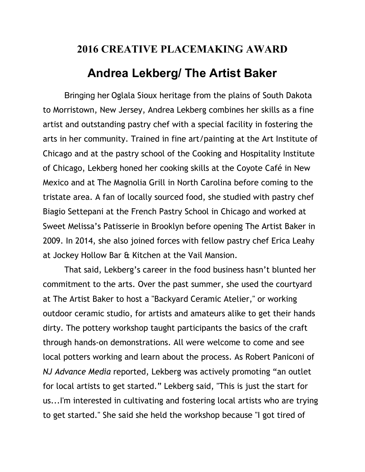## **2016 CREATIVE PLACEMAKING AWARD Andrea Lekberg/ The Artist Baker**

 Bringing her Oglala Sioux heritage from the plains of South Dakota to Morristown, New Jersey, Andrea Lekberg combines her skills as a fine artist and outstanding pastry chef with a special facility in fostering the arts in her community. Trained in fine art/painting at the Art Institute of Chicago and at the pastry school of the Cooking and Hospitality Institute of Chicago, Lekberg honed her cooking skills at the Coyote Café in New Mexico and at The Magnolia Grill in North Carolina before coming to the tristate area. A fan of locally sourced food, she studied with pastry chef Biagio Settepani at the French Pastry School in Chicago and worked at Sweet Melissa's Patisserie in Brooklyn before opening The Artist Baker in 2009. In 2014, she also joined forces with fellow pastry chef Erica Leahy at Jockey Hollow Bar & Kitchen at the Vail Mansion.

 That said, Lekberg's career in the food business hasn't blunted her commitment to the arts. Over the past summer, she used the courtyard at The Artist Baker to host a "Backyard Ceramic Atelier," or working outdoor ceramic studio, for artists and amateurs alike to get their hands dirty. The pottery workshop taught participants the basics of the craft through hands-on demonstrations. All were welcome to come and see local potters working and learn about the process. As Robert Paniconi of *NJ Advance Media* reported, Lekberg was actively promoting "an outlet for local artists to get started." Lekberg said, "This is just the start for us...I'm interested in cultivating and fostering local artists who are trying to get started." She said she held the workshop because "I got tired of